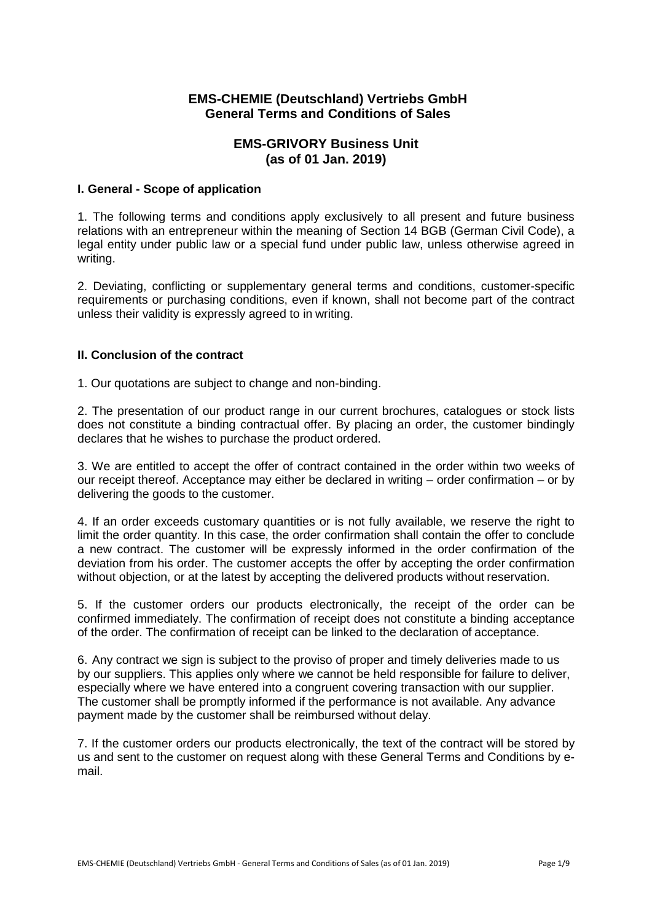# **EMS-CHEMIE (Deutschland) Vertriebs GmbH General Terms and Conditions of Sales**

# **EMS-GRIVORY Business Unit (as of 01 Jan. 2019)**

# **I. General - Scope of application**

1. The following terms and conditions apply exclusively to all present and future business relations with an entrepreneur within the meaning of Section 14 BGB (German Civil Code), a legal entity under public law or a special fund under public law, unless otherwise agreed in writing.

2. Deviating, conflicting or supplementary general terms and conditions, customer-specific requirements or purchasing conditions, even if known, shall not become part of the contract unless their validity is expressly agreed to in writing.

# **II. Conclusion of the contract**

1. Our quotations are subject to change and non-binding.

2. The presentation of our product range in our current brochures, catalogues or stock lists does not constitute a binding contractual offer. By placing an order, the customer bindingly declares that he wishes to purchase the product ordered.

3. We are entitled to accept the offer of contract contained in the order within two weeks of our receipt thereof. Acceptance may either be declared in writing – order confirmation – or by delivering the goods to the customer.

4. If an order exceeds customary quantities or is not fully available, we reserve the right to limit the order quantity. In this case, the order confirmation shall contain the offer to conclude a new contract. The customer will be expressly informed in the order confirmation of the deviation from his order. The customer accepts the offer by accepting the order confirmation without objection, or at the latest by accepting the delivered products without reservation.

5. If the customer orders our products electronically, the receipt of the order can be confirmed immediately. The confirmation of receipt does not constitute a binding acceptance of the order. The confirmation of receipt can be linked to the declaration of acceptance.

6. Any contract we sign is subject to the proviso of proper and timely deliveries made to us by our suppliers. This applies only where we cannot be held responsible for failure to deliver, especially where we have entered into a congruent covering transaction with our supplier. The customer shall be promptly informed if the performance is not available. Any advance payment made by the customer shall be reimbursed without delay.

7. If the customer orders our products electronically, the text of the contract will be stored by us and sent to the customer on request along with these General Terms and Conditions by email.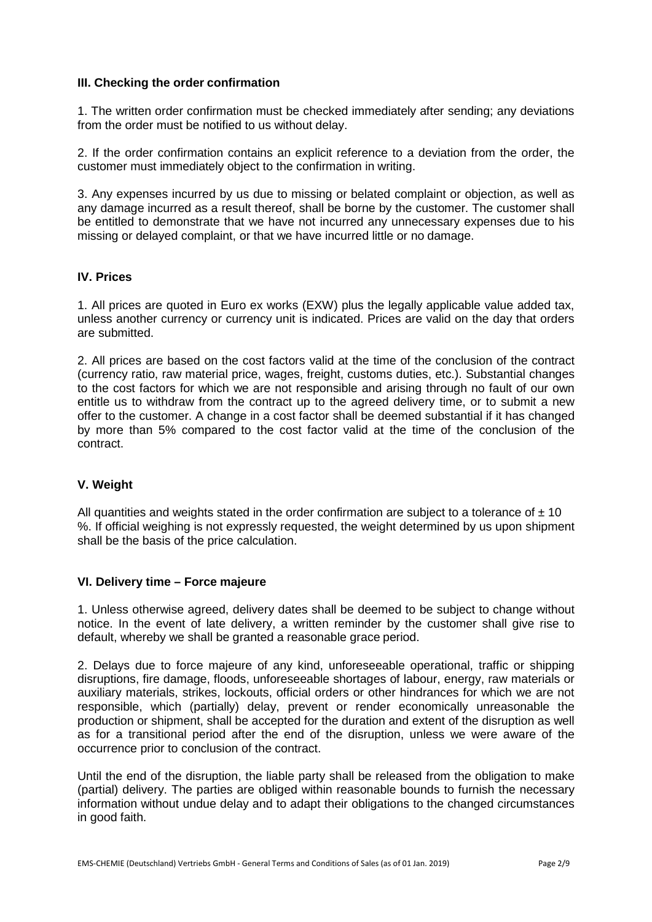#### **III. Checking the order confirmation**

1. The written order confirmation must be checked immediately after sending; any deviations from the order must be notified to us without delay.

2. If the order confirmation contains an explicit reference to a deviation from the order, the customer must immediately object to the confirmation in writing.

3. Any expenses incurred by us due to missing or belated complaint or objection, as well as any damage incurred as a result thereof, shall be borne by the customer. The customer shall be entitled to demonstrate that we have not incurred any unnecessary expenses due to his missing or delayed complaint, or that we have incurred little or no damage.

# **IV. Prices**

1. All prices are quoted in Euro ex works (EXW) plus the legally applicable value added tax, unless another currency or currency unit is indicated. Prices are valid on the day that orders are submitted.

2. All prices are based on the cost factors valid at the time of the conclusion of the contract (currency ratio, raw material price, wages, freight, customs duties, etc.). Substantial changes to the cost factors for which we are not responsible and arising through no fault of our own entitle us to withdraw from the contract up to the agreed delivery time, or to submit a new offer to the customer. A change in a cost factor shall be deemed substantial if it has changed by more than 5% compared to the cost factor valid at the time of the conclusion of the contract.

# **V. Weight**

All quantities and weights stated in the order confirmation are subject to a tolerance of  $\pm$  10 %. If official weighing is not expressly requested, the weight determined by us upon shipment shall be the basis of the price calculation.

#### **VI. Delivery time – Force majeure**

1. Unless otherwise agreed, delivery dates shall be deemed to be subject to change without notice. In the event of late delivery, a written reminder by the customer shall give rise to default, whereby we shall be granted a reasonable grace period.

2. Delays due to force majeure of any kind, unforeseeable operational, traffic or shipping disruptions, fire damage, floods, unforeseeable shortages of labour, energy, raw materials or auxiliary materials, strikes, lockouts, official orders or other hindrances for which we are not responsible, which (partially) delay, prevent or render economically unreasonable the production or shipment, shall be accepted for the duration and extent of the disruption as well as for a transitional period after the end of the disruption, unless we were aware of the occurrence prior to conclusion of the contract.

Until the end of the disruption, the liable party shall be released from the obligation to make (partial) delivery. The parties are obliged within reasonable bounds to furnish the necessary information without undue delay and to adapt their obligations to the changed circumstances in good faith.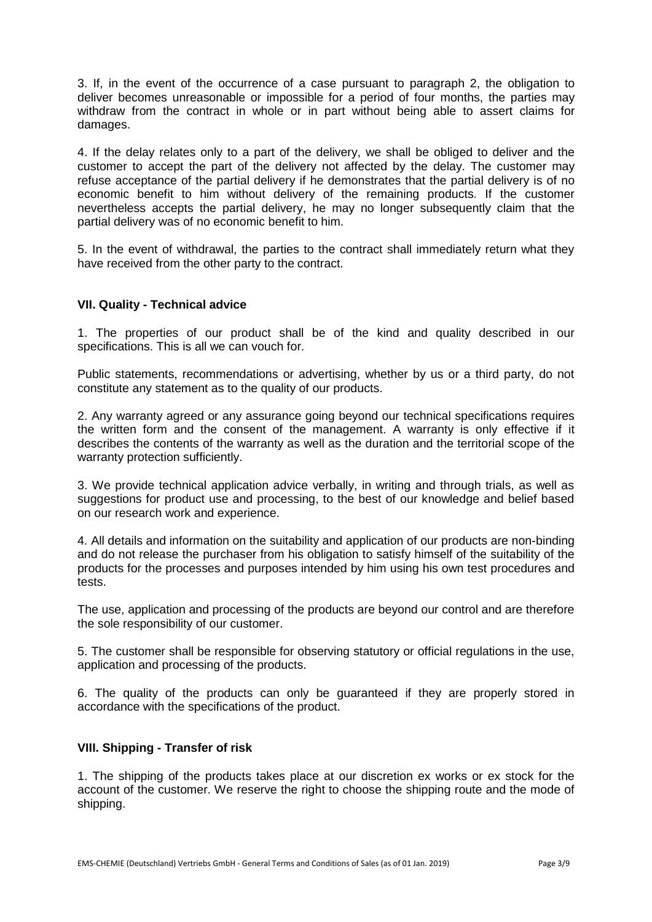3. If, in the event of the occurrence of a case pursuant to paragraph 2, the obligation to deliver becomes unreasonable or impossible for a period of four months, the parties may withdraw from the contract in whole or in part without being able to assert claims for damages.

4. If the delay relates only to a part of the delivery, we shall be obliged to deliver and the customer to accept the part of the delivery not affected by the delay. The customer may refuse acceptance of the partial delivery if he demonstrates that the partial delivery is of no economic benefit to him without delivery of the remaining products. If the customer nevertheless accepts the partial delivery, he may no longer subsequently claim that the partial delivery was of no economic benefit to him.

5. In the event of withdrawal, the parties to the contract shall immediately return what they have received from the other party to the contract.

# **VII. Quality - Technical advice**

1. The properties of our product shall be of the kind and quality described in our specifications. This is all we can vouch for.

Public statements, recommendations or advertising, whether by us or a third party, do not constitute any statement as to the quality of our products.

2. Any warranty agreed or any assurance going beyond our technical specifications requires the written form and the consent of the management. A warranty is only effective if it describes the contents of the warranty as well as the duration and the territorial scope of the warranty protection sufficiently.

3. We provide technical application advice verbally, in writing and through trials, as well as suggestions for product use and processing, to the best of our knowledge and belief based on our research work and experience.

4. All details and information on the suitability and application of our products are non-binding and do not release the purchaser from his obligation to satisfy himself of the suitability of the products for the processes and purposes intended by him using his own test procedures and tests.

The use, application and processing of the products are beyond our control and are therefore the sole responsibility of our customer.

5. The customer shall be responsible for observing statutory or official regulations in the use, application and processing of the products.

6. The quality of the products can only be guaranteed if they are properly stored in accordance with the specifications of the product.

#### **VIII. Shipping - Transfer of risk**

1. The shipping of the products takes place at our discretion ex works or ex stock for the account of the customer. We reserve the right to choose the shipping route and the mode of shipping.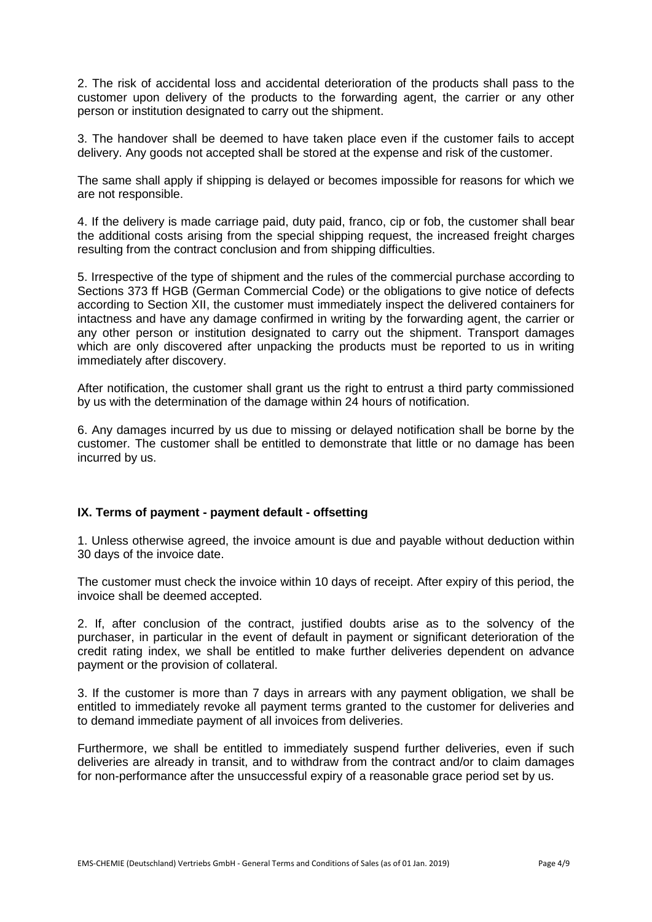2. The risk of accidental loss and accidental deterioration of the products shall pass to the customer upon delivery of the products to the forwarding agent, the carrier or any other person or institution designated to carry out the shipment.

3. The handover shall be deemed to have taken place even if the customer fails to accept delivery. Any goods not accepted shall be stored at the expense and risk of the customer.

The same shall apply if shipping is delayed or becomes impossible for reasons for which we are not responsible.

4. If the delivery is made carriage paid, duty paid, franco, cip or fob, the customer shall bear the additional costs arising from the special shipping request, the increased freight charges resulting from the contract conclusion and from shipping difficulties.

5. Irrespective of the type of shipment and the rules of the commercial purchase according to Sections 373 ff HGB (German Commercial Code) or the obligations to give notice of defects according to Section XII, the customer must immediately inspect the delivered containers for intactness and have any damage confirmed in writing by the forwarding agent, the carrier or any other person or institution designated to carry out the shipment. Transport damages which are only discovered after unpacking the products must be reported to us in writing immediately after discovery.

After notification, the customer shall grant us the right to entrust a third party commissioned by us with the determination of the damage within 24 hours of notification.

6. Any damages incurred by us due to missing or delayed notification shall be borne by the customer. The customer shall be entitled to demonstrate that little or no damage has been incurred by us.

#### **IX. Terms of payment - payment default - offsetting**

1. Unless otherwise agreed, the invoice amount is due and payable without deduction within 30 days of the invoice date.

The customer must check the invoice within 10 days of receipt. After expiry of this period, the invoice shall be deemed accepted.

2. If, after conclusion of the contract, justified doubts arise as to the solvency of the purchaser, in particular in the event of default in payment or significant deterioration of the credit rating index, we shall be entitled to make further deliveries dependent on advance payment or the provision of collateral.

3. If the customer is more than 7 days in arrears with any payment obligation, we shall be entitled to immediately revoke all payment terms granted to the customer for deliveries and to demand immediate payment of all invoices from deliveries.

Furthermore, we shall be entitled to immediately suspend further deliveries, even if such deliveries are already in transit, and to withdraw from the contract and/or to claim damages for non-performance after the unsuccessful expiry of a reasonable grace period set by us.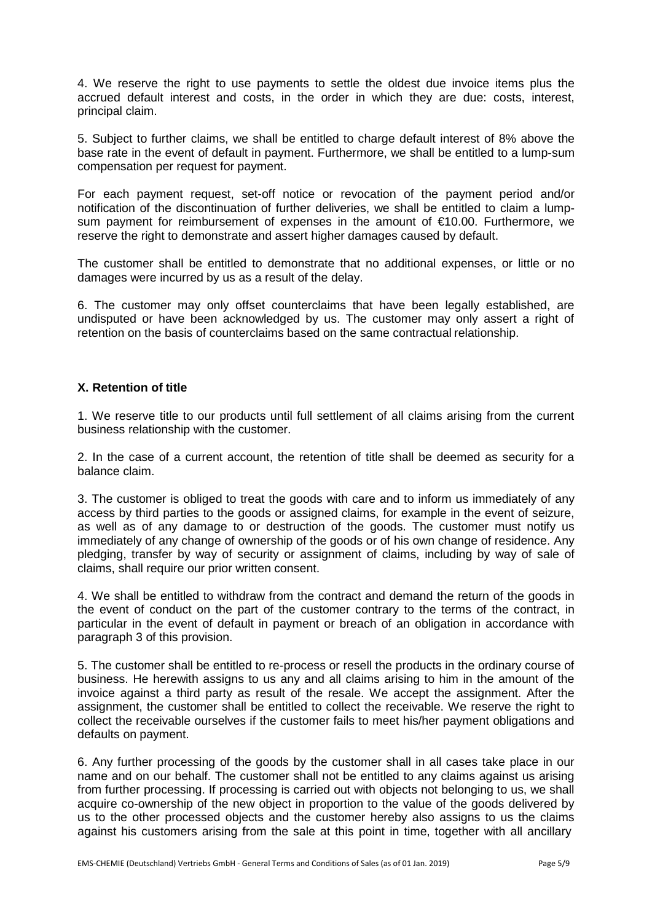4. We reserve the right to use payments to settle the oldest due invoice items plus the accrued default interest and costs, in the order in which they are due: costs, interest, principal claim.

5. Subject to further claims, we shall be entitled to charge default interest of 8% above the base rate in the event of default in payment. Furthermore, we shall be entitled to a lump-sum compensation per request for payment.

For each payment request, set-off notice or revocation of the payment period and/or notification of the discontinuation of further deliveries, we shall be entitled to claim a lumpsum payment for reimbursement of expenses in the amount of €10.00. Furthermore, we reserve the right to demonstrate and assert higher damages caused by default.

The customer shall be entitled to demonstrate that no additional expenses, or little or no damages were incurred by us as a result of the delay.

6. The customer may only offset counterclaims that have been legally established, are undisputed or have been acknowledged by us. The customer may only assert a right of retention on the basis of counterclaims based on the same contractual relationship.

# **X. Retention of title**

1. We reserve title to our products until full settlement of all claims arising from the current business relationship with the customer.

2. In the case of a current account, the retention of title shall be deemed as security for a balance claim.

3. The customer is obliged to treat the goods with care and to inform us immediately of any access by third parties to the goods or assigned claims, for example in the event of seizure, as well as of any damage to or destruction of the goods. The customer must notify us immediately of any change of ownership of the goods or of his own change of residence. Any pledging, transfer by way of security or assignment of claims, including by way of sale of claims, shall require our prior written consent.

4. We shall be entitled to withdraw from the contract and demand the return of the goods in the event of conduct on the part of the customer contrary to the terms of the contract, in particular in the event of default in payment or breach of an obligation in accordance with paragraph 3 of this provision.

5. The customer shall be entitled to re-process or resell the products in the ordinary course of business. He herewith assigns to us any and all claims arising to him in the amount of the invoice against a third party as result of the resale. We accept the assignment. After the assignment, the customer shall be entitled to collect the receivable. We reserve the right to collect the receivable ourselves if the customer fails to meet his/her payment obligations and defaults on payment.

6. Any further processing of the goods by the customer shall in all cases take place in our name and on our behalf. The customer shall not be entitled to any claims against us arising from further processing. If processing is carried out with objects not belonging to us, we shall acquire co-ownership of the new object in proportion to the value of the goods delivered by us to the other processed objects and the customer hereby also assigns to us the claims against his customers arising from the sale at this point in time, together with all ancillary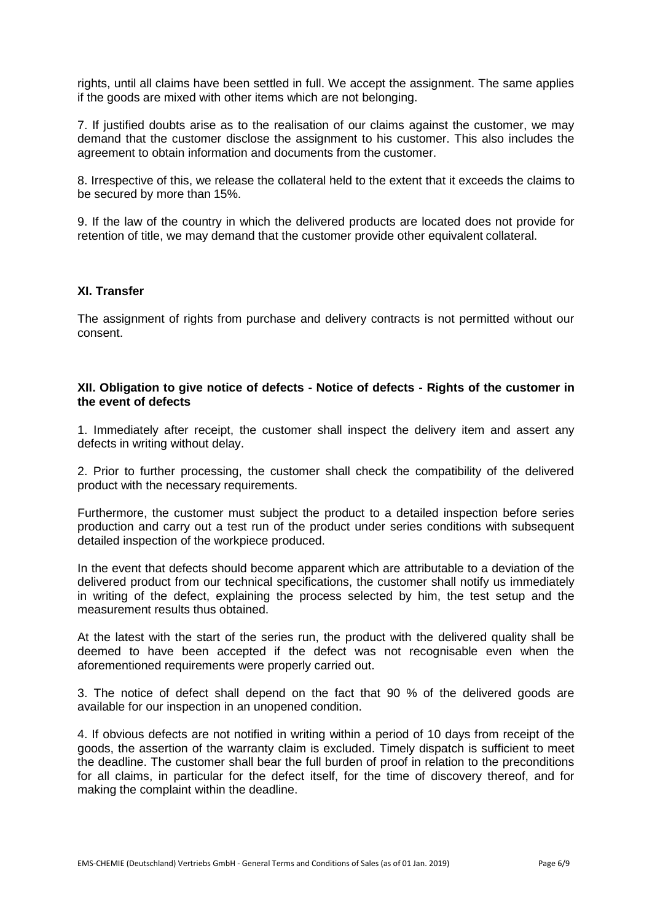rights, until all claims have been settled in full. We accept the assignment. The same applies if the goods are mixed with other items which are not belonging.

7. If justified doubts arise as to the realisation of our claims against the customer, we may demand that the customer disclose the assignment to his customer. This also includes the agreement to obtain information and documents from the customer.

8. Irrespective of this, we release the collateral held to the extent that it exceeds the claims to be secured by more than 15%.

9. If the law of the country in which the delivered products are located does not provide for retention of title, we may demand that the customer provide other equivalent collateral.

#### **XI. Transfer**

The assignment of rights from purchase and delivery contracts is not permitted without our consent.

#### **XII. Obligation to give notice of defects - Notice of defects - Rights of the customer in the event of defects**

1. Immediately after receipt, the customer shall inspect the delivery item and assert any defects in writing without delay.

2. Prior to further processing, the customer shall check the compatibility of the delivered product with the necessary requirements.

Furthermore, the customer must subject the product to a detailed inspection before series production and carry out a test run of the product under series conditions with subsequent detailed inspection of the workpiece produced.

In the event that defects should become apparent which are attributable to a deviation of the delivered product from our technical specifications, the customer shall notify us immediately in writing of the defect, explaining the process selected by him, the test setup and the measurement results thus obtained.

At the latest with the start of the series run, the product with the delivered quality shall be deemed to have been accepted if the defect was not recognisable even when the aforementioned requirements were properly carried out.

3. The notice of defect shall depend on the fact that 90 % of the delivered goods are available for our inspection in an unopened condition.

4. If obvious defects are not notified in writing within a period of 10 days from receipt of the goods, the assertion of the warranty claim is excluded. Timely dispatch is sufficient to meet the deadline. The customer shall bear the full burden of proof in relation to the preconditions for all claims, in particular for the defect itself, for the time of discovery thereof, and for making the complaint within the deadline.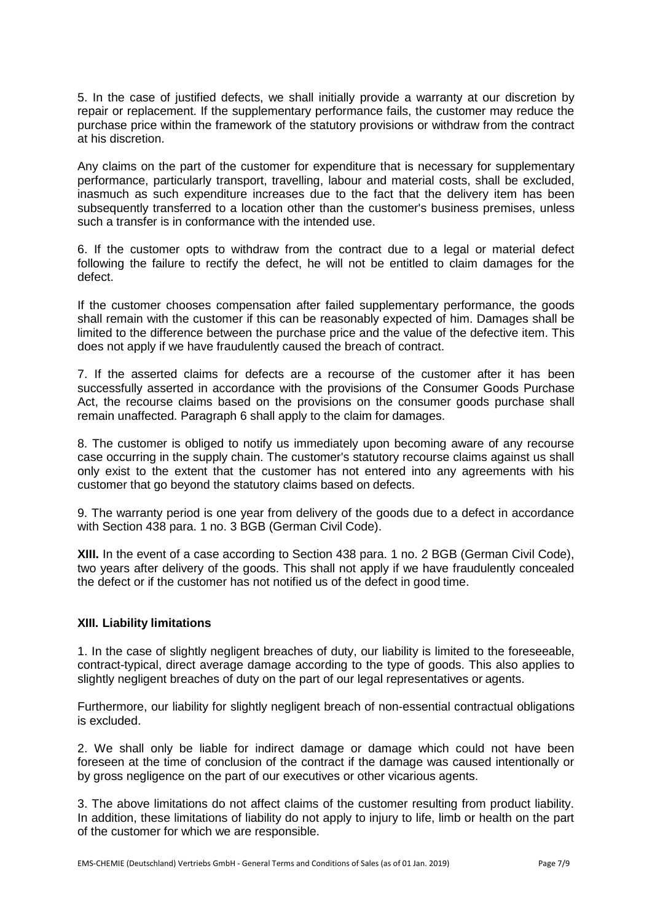5. In the case of justified defects, we shall initially provide a warranty at our discretion by repair or replacement. If the supplementary performance fails, the customer may reduce the purchase price within the framework of the statutory provisions or withdraw from the contract at his discretion.

Any claims on the part of the customer for expenditure that is necessary for supplementary performance, particularly transport, travelling, labour and material costs, shall be excluded, inasmuch as such expenditure increases due to the fact that the delivery item has been subsequently transferred to a location other than the customer's business premises, unless such a transfer is in conformance with the intended use.

6. If the customer opts to withdraw from the contract due to a legal or material defect following the failure to rectify the defect, he will not be entitled to claim damages for the defect.

If the customer chooses compensation after failed supplementary performance, the goods shall remain with the customer if this can be reasonably expected of him. Damages shall be limited to the difference between the purchase price and the value of the defective item. This does not apply if we have fraudulently caused the breach of contract.

7. If the asserted claims for defects are a recourse of the customer after it has been successfully asserted in accordance with the provisions of the Consumer Goods Purchase Act, the recourse claims based on the provisions on the consumer goods purchase shall remain unaffected. Paragraph 6 shall apply to the claim for damages.

8. The customer is obliged to notify us immediately upon becoming aware of any recourse case occurring in the supply chain. The customer's statutory recourse claims against us shall only exist to the extent that the customer has not entered into any agreements with his customer that go beyond the statutory claims based on defects.

9. The warranty period is one year from delivery of the goods due to a defect in accordance with Section 438 para. 1 no. 3 BGB (German Civil Code).

**XIII.** In the event of a case according to Section 438 para. 1 no. 2 BGB (German Civil Code), two years after delivery of the goods. This shall not apply if we have fraudulently concealed the defect or if the customer has not notified us of the defect in good time.

# **XIII. Liability limitations**

1. In the case of slightly negligent breaches of duty, our liability is limited to the foreseeable, contract-typical, direct average damage according to the type of goods. This also applies to slightly negligent breaches of duty on the part of our legal representatives or agents.

Furthermore, our liability for slightly negligent breach of non-essential contractual obligations is excluded.

2. We shall only be liable for indirect damage or damage which could not have been foreseen at the time of conclusion of the contract if the damage was caused intentionally or by gross negligence on the part of our executives or other vicarious agents.

3. The above limitations do not affect claims of the customer resulting from product liability. In addition, these limitations of liability do not apply to injury to life, limb or health on the part of the customer for which we are responsible.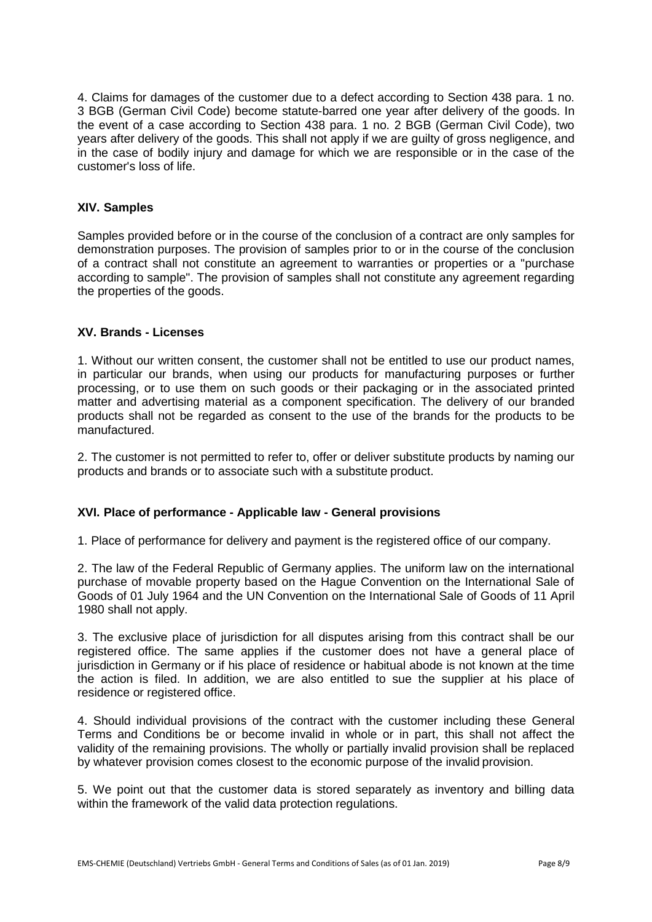4. Claims for damages of the customer due to a defect according to Section 438 para. 1 no. 3 BGB (German Civil Code) become statute-barred one year after delivery of the goods. In the event of a case according to Section 438 para. 1 no. 2 BGB (German Civil Code), two years after delivery of the goods. This shall not apply if we are guilty of gross negligence, and in the case of bodily injury and damage for which we are responsible or in the case of the customer's loss of life.

# **XIV. Samples**

Samples provided before or in the course of the conclusion of a contract are only samples for demonstration purposes. The provision of samples prior to or in the course of the conclusion of a contract shall not constitute an agreement to warranties or properties or a "purchase according to sample". The provision of samples shall not constitute any agreement regarding the properties of the goods.

# **XV. Brands - Licenses**

1. Without our written consent, the customer shall not be entitled to use our product names, in particular our brands, when using our products for manufacturing purposes or further processing, or to use them on such goods or their packaging or in the associated printed matter and advertising material as a component specification. The delivery of our branded products shall not be regarded as consent to the use of the brands for the products to be manufactured.

2. The customer is not permitted to refer to, offer or deliver substitute products by naming our products and brands or to associate such with a substitute product.

# **XVI. Place of performance - Applicable law - General provisions**

1. Place of performance for delivery and payment is the registered office of our company.

2. The law of the Federal Republic of Germany applies. The uniform law on the international purchase of movable property based on the Hague Convention on the International Sale of Goods of 01 July 1964 and the UN Convention on the International Sale of Goods of 11 April 1980 shall not apply.

3. The exclusive place of jurisdiction for all disputes arising from this contract shall be our registered office. The same applies if the customer does not have a general place of jurisdiction in Germany or if his place of residence or habitual abode is not known at the time the action is filed. In addition, we are also entitled to sue the supplier at his place of residence or registered office.

4. Should individual provisions of the contract with the customer including these General Terms and Conditions be or become invalid in whole or in part, this shall not affect the validity of the remaining provisions. The wholly or partially invalid provision shall be replaced by whatever provision comes closest to the economic purpose of the invalid provision.

5. We point out that the customer data is stored separately as inventory and billing data within the framework of the valid data protection regulations.